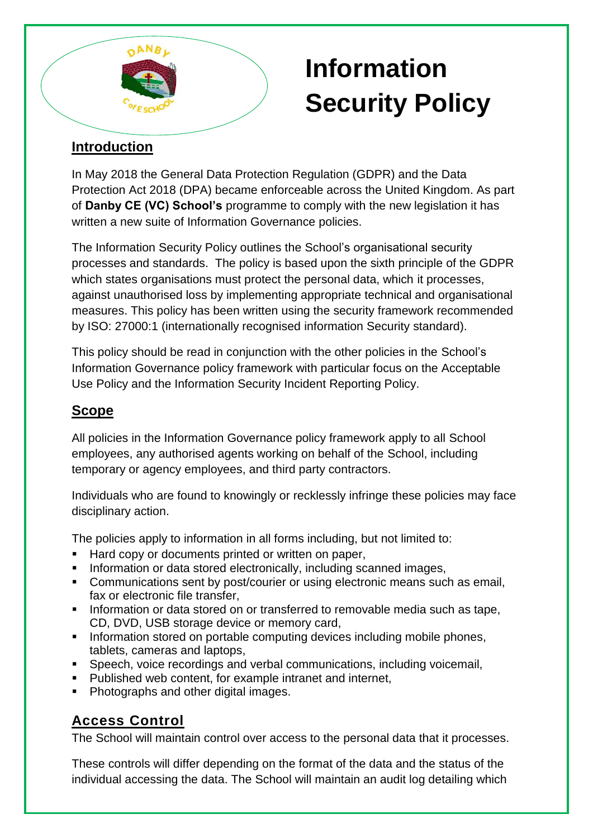

# **Information Security Policy**

# **Introduction**

In May 2018 the General Data Protection Regulation (GDPR) and the Data Protection Act 2018 (DPA) became enforceable across the United Kingdom. As part of **Danby CE (VC) School's** programme to comply with the new legislation it has written a new suite of Information Governance policies.

The Information Security Policy outlines the School's organisational security processes and standards. The policy is based upon the sixth principle of the GDPR which states organisations must protect the personal data, which it processes, against unauthorised loss by implementing appropriate technical and organisational measures. This policy has been written using the security framework recommended by ISO: 27000:1 (internationally recognised information Security standard).

This policy should be read in conjunction with the other policies in the School's Information Governance policy framework with particular focus on the Acceptable Use Policy and the Information Security Incident Reporting Policy.

# **Scope**

All policies in the Information Governance policy framework apply to all School employees, any authorised agents working on behalf of the School, including temporary or agency employees, and third party contractors.

Individuals who are found to knowingly or recklessly infringe these policies may face disciplinary action.

The policies apply to information in all forms including, but not limited to:

- Hard copy or documents printed or written on paper,
- **Information or data stored electronically, including scanned images,**
- Communications sent by post/courier or using electronic means such as email, fax or electronic file transfer.
- **Information or data stored on or transferred to removable media such as tape,** CD, DVD, USB storage device or memory card,
- **Information stored on portable computing devices including mobile phones,** tablets, cameras and laptops,
- Speech, voice recordings and verbal communications, including voicemail,
- **Published web content, for example intranet and internet,**
- Photographs and other digital images.

# **Access Control**

The School will maintain control over access to the personal data that it processes.

These controls will differ depending on the format of the data and the status of the individual accessing the data. The School will maintain an audit log detailing which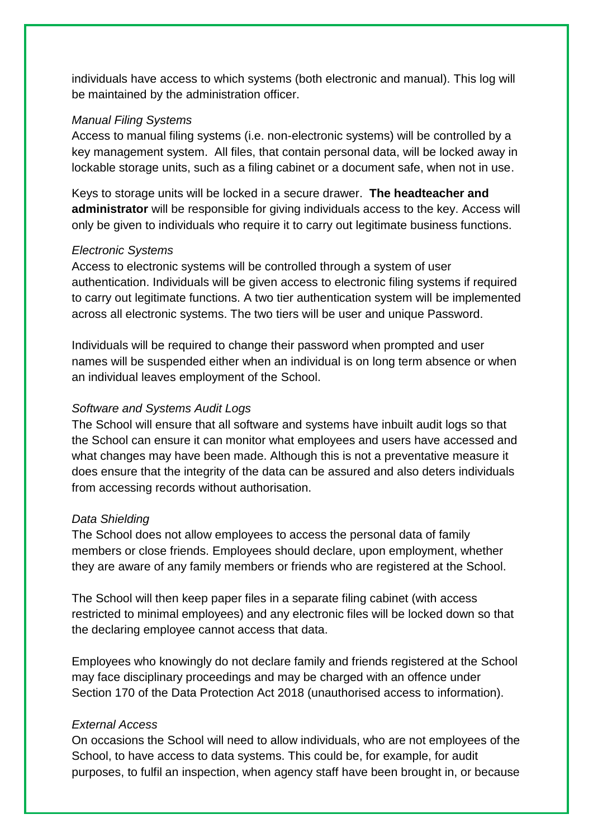individuals have access to which systems (both electronic and manual). This log will be maintained by the administration officer.

## *Manual Filing Systems*

Access to manual filing systems (i.e. non-electronic systems) will be controlled by a key management system. All files, that contain personal data, will be locked away in lockable storage units, such as a filing cabinet or a document safe, when not in use.

Keys to storage units will be locked in a secure drawer. **The headteacher and administrator** will be responsible for giving individuals access to the key. Access will only be given to individuals who require it to carry out legitimate business functions.

#### *Electronic Systems*

Access to electronic systems will be controlled through a system of user authentication. Individuals will be given access to electronic filing systems if required to carry out legitimate functions. A two tier authentication system will be implemented across all electronic systems. The two tiers will be user and unique Password.

Individuals will be required to change their password when prompted and user names will be suspended either when an individual is on long term absence or when an individual leaves employment of the School.

# *Software and Systems Audit Logs*

The School will ensure that all software and systems have inbuilt audit logs so that the School can ensure it can monitor what employees and users have accessed and what changes may have been made. Although this is not a preventative measure it does ensure that the integrity of the data can be assured and also deters individuals from accessing records without authorisation.

#### *Data Shielding*

The School does not allow employees to access the personal data of family members or close friends. Employees should declare, upon employment, whether they are aware of any family members or friends who are registered at the School.

The School will then keep paper files in a separate filing cabinet (with access restricted to minimal employees) and any electronic files will be locked down so that the declaring employee cannot access that data.

Employees who knowingly do not declare family and friends registered at the School may face disciplinary proceedings and may be charged with an offence under Section 170 of the Data Protection Act 2018 (unauthorised access to information).

# *External Access*

On occasions the School will need to allow individuals, who are not employees of the School, to have access to data systems. This could be, for example, for audit purposes, to fulfil an inspection, when agency staff have been brought in, or because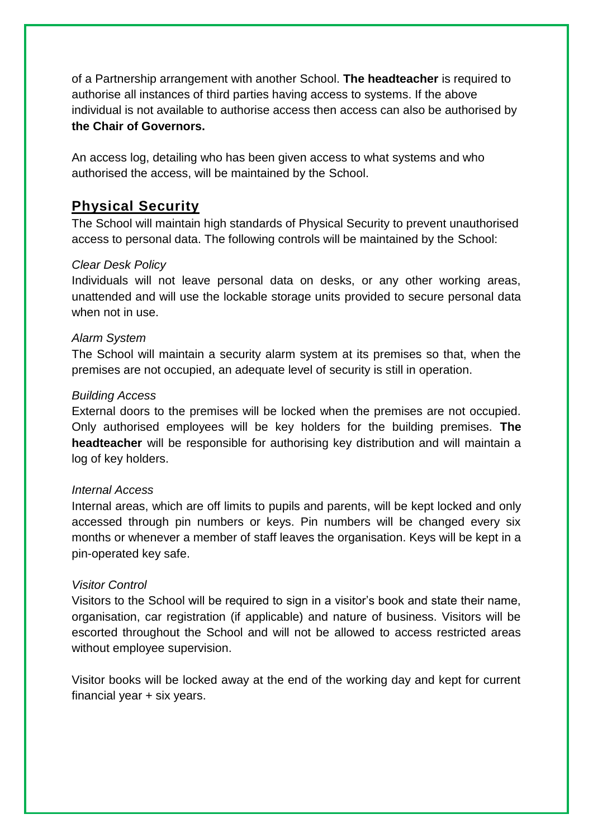of a Partnership arrangement with another School. **The headteacher** is required to authorise all instances of third parties having access to systems. If the above individual is not available to authorise access then access can also be authorised by **the Chair of Governors.**

An access log, detailing who has been given access to what systems and who authorised the access, will be maintained by the School.

# **Physical Security**

The School will maintain high standards of Physical Security to prevent unauthorised access to personal data. The following controls will be maintained by the School:

## *Clear Desk Policy*

Individuals will not leave personal data on desks, or any other working areas, unattended and will use the lockable storage units provided to secure personal data when not in use.

### *Alarm System*

The School will maintain a security alarm system at its premises so that, when the premises are not occupied, an adequate level of security is still in operation.

#### *Building Access*

External doors to the premises will be locked when the premises are not occupied. Only authorised employees will be key holders for the building premises. **The headteacher** will be responsible for authorising key distribution and will maintain a log of key holders.

## *Internal Access*

Internal areas, which are off limits to pupils and parents, will be kept locked and only accessed through pin numbers or keys. Pin numbers will be changed every six months or whenever a member of staff leaves the organisation. Keys will be kept in a pin-operated key safe.

#### *Visitor Control*

Visitors to the School will be required to sign in a visitor's book and state their name, organisation, car registration (if applicable) and nature of business. Visitors will be escorted throughout the School and will not be allowed to access restricted areas without employee supervision.

Visitor books will be locked away at the end of the working day and kept for current financial year + six years.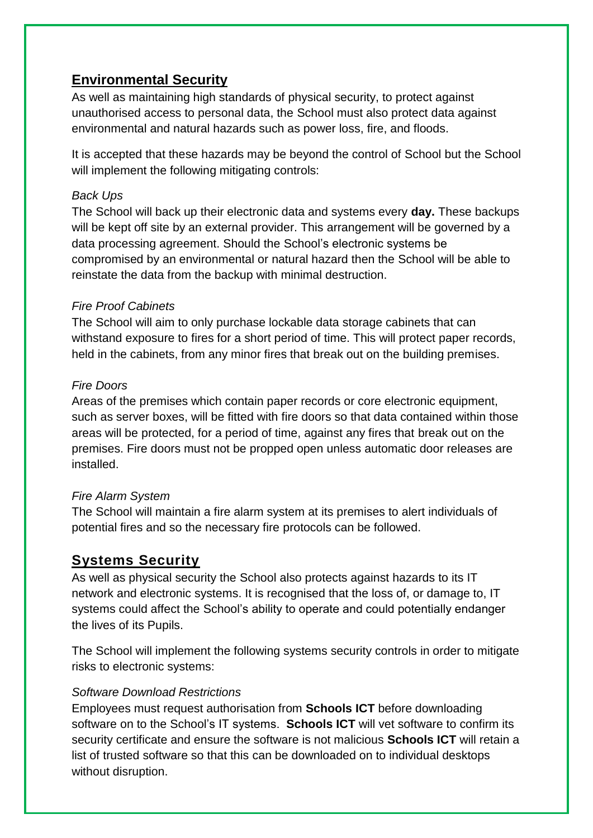# **Environmental Security**

As well as maintaining high standards of physical security, to protect against unauthorised access to personal data, the School must also protect data against environmental and natural hazards such as power loss, fire, and floods.

It is accepted that these hazards may be beyond the control of School but the School will implement the following mitigating controls:

# *Back Ups*

The School will back up their electronic data and systems every **day.** These backups will be kept off site by an external provider. This arrangement will be governed by a data processing agreement. Should the School's electronic systems be compromised by an environmental or natural hazard then the School will be able to reinstate the data from the backup with minimal destruction.

# *Fire Proof Cabinets*

The School will aim to only purchase lockable data storage cabinets that can withstand exposure to fires for a short period of time. This will protect paper records, held in the cabinets, from any minor fires that break out on the building premises.

# *Fire Doors*

Areas of the premises which contain paper records or core electronic equipment, such as server boxes, will be fitted with fire doors so that data contained within those areas will be protected, for a period of time, against any fires that break out on the premises. Fire doors must not be propped open unless automatic door releases are installed.

# *Fire Alarm System*

The School will maintain a fire alarm system at its premises to alert individuals of potential fires and so the necessary fire protocols can be followed.

# **Systems Security**

As well as physical security the School also protects against hazards to its IT network and electronic systems. It is recognised that the loss of, or damage to, IT systems could affect the School's ability to operate and could potentially endanger the lives of its Pupils.

The School will implement the following systems security controls in order to mitigate risks to electronic systems:

# *Software Download Restrictions*

Employees must request authorisation from **Schools ICT** before downloading software on to the School's IT systems. **Schools ICT** will vet software to confirm its security certificate and ensure the software is not malicious **Schools ICT** will retain a list of trusted software so that this can be downloaded on to individual desktops without disruption.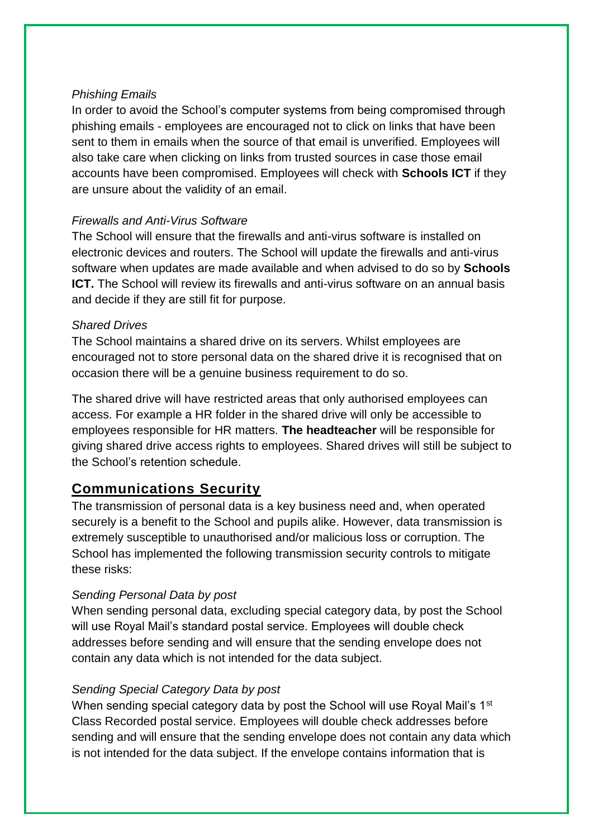# *Phishing Emails*

In order to avoid the School's computer systems from being compromised through phishing emails - employees are encouraged not to click on links that have been sent to them in emails when the source of that email is unverified. Employees will also take care when clicking on links from trusted sources in case those email accounts have been compromised. Employees will check with **Schools ICT** if they are unsure about the validity of an email.

# *Firewalls and Anti-Virus Software*

The School will ensure that the firewalls and anti-virus software is installed on electronic devices and routers. The School will update the firewalls and anti-virus software when updates are made available and when advised to do so by **Schools ICT.** The School will review its firewalls and anti-virus software on an annual basis and decide if they are still fit for purpose.

# *Shared Drives*

The School maintains a shared drive on its servers. Whilst employees are encouraged not to store personal data on the shared drive it is recognised that on occasion there will be a genuine business requirement to do so.

The shared drive will have restricted areas that only authorised employees can access. For example a HR folder in the shared drive will only be accessible to employees responsible for HR matters. **The headteacher** will be responsible for giving shared drive access rights to employees. Shared drives will still be subject to the School's retention schedule.

# **Communications Security**

The transmission of personal data is a key business need and, when operated securely is a benefit to the School and pupils alike. However, data transmission is extremely susceptible to unauthorised and/or malicious loss or corruption. The School has implemented the following transmission security controls to mitigate these risks:

# *Sending Personal Data by post*

When sending personal data, excluding special category data, by post the School will use Royal Mail's standard postal service. Employees will double check addresses before sending and will ensure that the sending envelope does not contain any data which is not intended for the data subject.

## *Sending Special Category Data by post*

When sending special category data by post the School will use Royal Mail's 1<sup>st</sup> Class Recorded postal service. Employees will double check addresses before sending and will ensure that the sending envelope does not contain any data which is not intended for the data subject. If the envelope contains information that is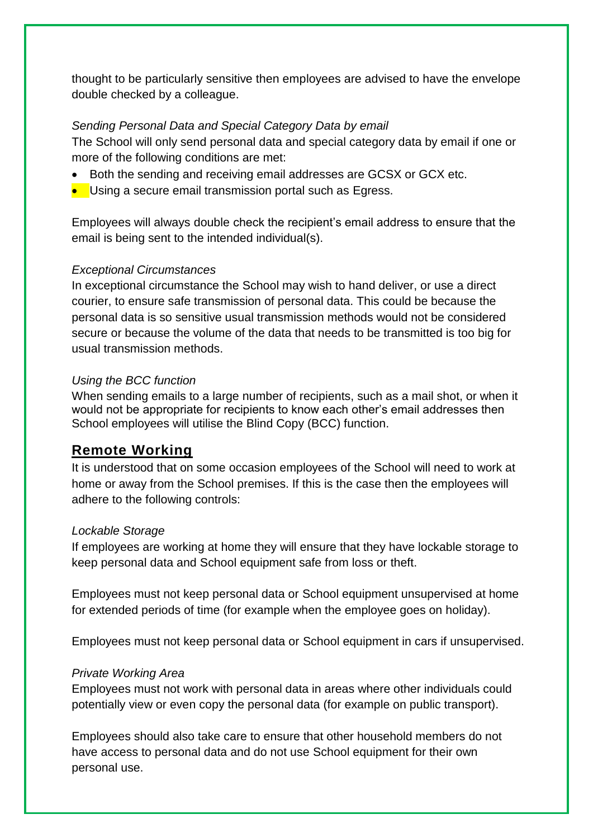thought to be particularly sensitive then employees are advised to have the envelope double checked by a colleague.

# *Sending Personal Data and Special Category Data by email*

The School will only send personal data and special category data by email if one or more of the following conditions are met:

- Both the sending and receiving email addresses are GCSX or GCX etc.
- **Using a secure email transmission portal such as Egress.**

Employees will always double check the recipient's email address to ensure that the email is being sent to the intended individual(s).

## *Exceptional Circumstances*

In exceptional circumstance the School may wish to hand deliver, or use a direct courier, to ensure safe transmission of personal data. This could be because the personal data is so sensitive usual transmission methods would not be considered secure or because the volume of the data that needs to be transmitted is too big for usual transmission methods.

## *Using the BCC function*

When sending emails to a large number of recipients, such as a mail shot, or when it would not be appropriate for recipients to know each other's email addresses then School employees will utilise the Blind Copy (BCC) function.

# **Remote Working**

It is understood that on some occasion employees of the School will need to work at home or away from the School premises. If this is the case then the employees will adhere to the following controls:

#### *Lockable Storage*

If employees are working at home they will ensure that they have lockable storage to keep personal data and School equipment safe from loss or theft.

Employees must not keep personal data or School equipment unsupervised at home for extended periods of time (for example when the employee goes on holiday).

Employees must not keep personal data or School equipment in cars if unsupervised.

#### *Private Working Area*

Employees must not work with personal data in areas where other individuals could potentially view or even copy the personal data (for example on public transport).

Employees should also take care to ensure that other household members do not have access to personal data and do not use School equipment for their own personal use.